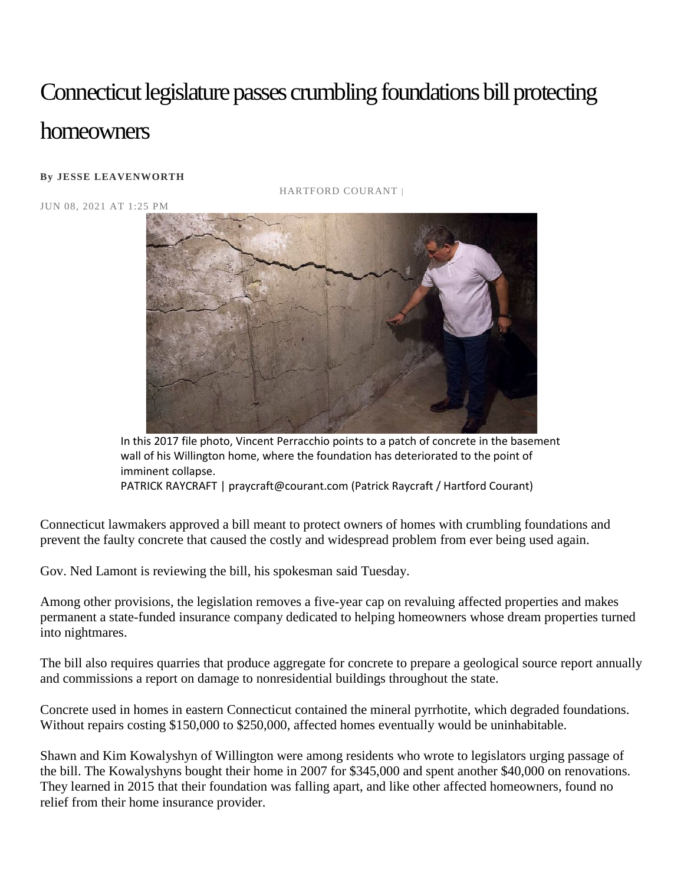## Connecticut legislature passes crumbling foundations bill protecting homeowners

## **By [JESSE LEAVENWORTH](https://www.courant.com/hc-jesse-leavenworth-bio-staff.html#nt=byline)**

JUN 08, 2021 AT 1:25 PM

HARTFORD COURANT |



In this 2017 file photo, Vincent Perracchio points to a patch of concrete in the basement wall of his Willington home, where the foundation has deteriorated to the point of imminent collapse.

PATRICK RAYCRAFT | praycraft@courant.com (Patrick Raycraft / Hartford Courant)

Connecticut lawmakers approved a bill meant to protect owners of homes with crumbling foundations and prevent the faulty concrete that caused the costly and widespread problem from ever being used again.

Gov. Ned Lamont is reviewing the bill, his spokesman said Tuesday.

Among other provisions, the legislation removes a five-year cap on revaluing affected properties and makes permanent a state-funded insurance company dedicated to helping homeowners whose dream properties turned into nightmares.

The bill also requires quarries that produce aggregate for concrete to prepare a geological source report annually and commissions a report on damage to nonresidential buildings throughout the state.

Concrete used in homes in eastern Connecticut contained the mineral pyrrhotite, which degraded foundations. Without repairs costing \$150,000 to \$250,000, affected homes eventually would be uninhabitable.

Shawn and Kim Kowalyshyn of Willington were among residents who wrote to legislators urging passage of the bill. The Kowalyshyns bought their home in 2007 for \$345,000 and spent another \$40,000 on renovations. They learned in 2015 that their foundation was falling apart, and like other affected homeowners, found no relief from their home insurance provider.